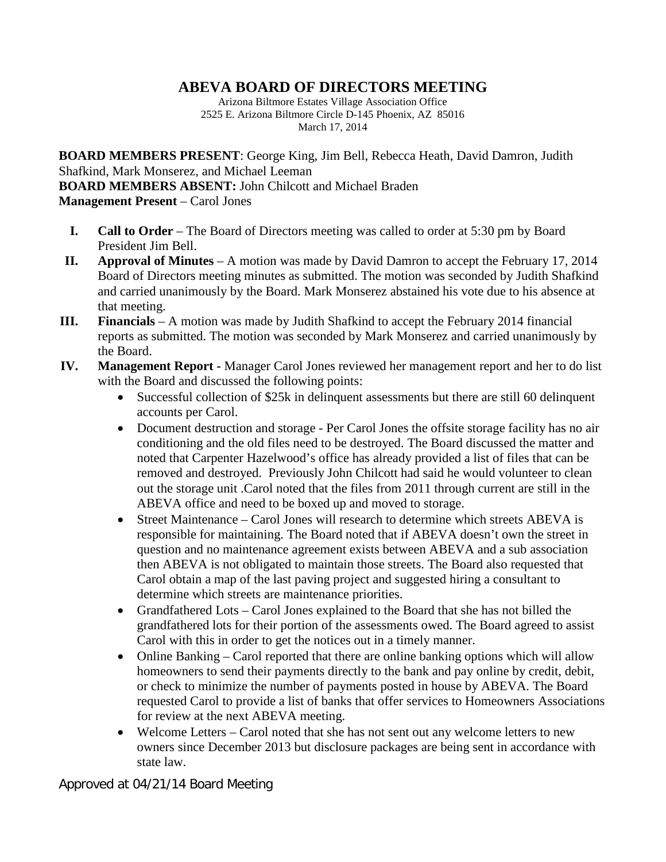## **ABEVA BOARD OF DIRECTORS MEETING**

Arizona Biltmore Estates Village Association Office 2525 E. Arizona Biltmore Circle D-145 Phoenix, AZ 85016 March 17, 2014

**BOARD MEMBERS PRESENT**: George King, Jim Bell, Rebecca Heath, David Damron, Judith Shafkind, Mark Monserez, and Michael Leeman **BOARD MEMBERS ABSENT:** John Chilcott and Michael Braden **Management Present** – Carol Jones

- **I. Call to Order** The Board of Directors meeting was called to order at 5:30 pm by Board President Jim Bell.
- **II. Approval of Minutes** A motion was made by David Damron to accept the February 17, 2014 Board of Directors meeting minutes as submitted. The motion was seconded by Judith Shafkind and carried unanimously by the Board. Mark Monserez abstained his vote due to his absence at that meeting.
- **III. Financials** A motion was made by Judith Shafkind to accept the February 2014 financial reports as submitted. The motion was seconded by Mark Monserez and carried unanimously by the Board.
- **IV. Management Report -** Manager Carol Jones reviewed her management report and her to do list with the Board and discussed the following points:
	- Successful collection of \$25k in delinquent assessments but there are still 60 delinquent accounts per Carol.
	- Document destruction and storage Per Carol Jones the offsite storage facility has no air conditioning and the old files need to be destroyed. The Board discussed the matter and noted that Carpenter Hazelwood's office has already provided a list of files that can be removed and destroyed. Previously John Chilcott had said he would volunteer to clean out the storage unit .Carol noted that the files from 2011 through current are still in the ABEVA office and need to be boxed up and moved to storage.
	- Street Maintenance Carol Jones will research to determine which streets ABEVA is responsible for maintaining. The Board noted that if ABEVA doesn't own the street in question and no maintenance agreement exists between ABEVA and a sub association then ABEVA is not obligated to maintain those streets. The Board also requested that Carol obtain a map of the last paving project and suggested hiring a consultant to determine which streets are maintenance priorities.
	- Grandfathered Lots Carol Jones explained to the Board that she has not billed the grandfathered lots for their portion of the assessments owed. The Board agreed to assist Carol with this in order to get the notices out in a timely manner.
	- Online Banking Carol reported that there are online banking options which will allow homeowners to send their payments directly to the bank and pay online by credit, debit, or check to minimize the number of payments posted in house by ABEVA. The Board requested Carol to provide a list of banks that offer services to Homeowners Associations for review at the next ABEVA meeting.
	- Welcome Letters Carol noted that she has not sent out any welcome letters to new owners since December 2013 but disclosure packages are being sent in accordance with state law.

Approved at 04/21/14 Board Meeting